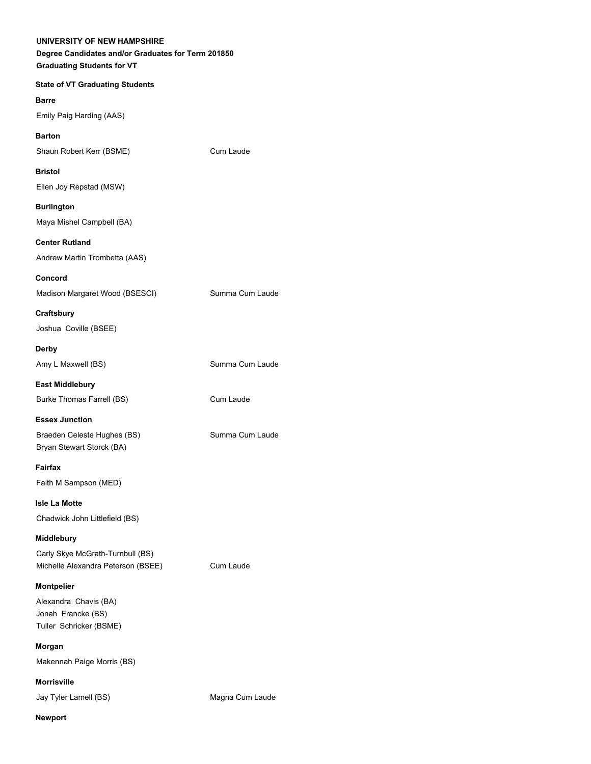| UNIVERSITY OF NEW HAMPSHIRE<br>Degree Candidates and/or Graduates for Term 201850<br><b>Graduating Students for VT</b> |                 |
|------------------------------------------------------------------------------------------------------------------------|-----------------|
| <b>State of VT Graduating Students</b>                                                                                 |                 |
| <b>Barre</b>                                                                                                           |                 |
| Emily Paig Harding (AAS)                                                                                               |                 |
| <b>Barton</b>                                                                                                          |                 |
| Shaun Robert Kerr (BSME)                                                                                               | Cum Laude       |
| <b>Bristol</b>                                                                                                         |                 |
| Ellen Joy Repstad (MSW)                                                                                                |                 |
| <b>Burlington</b><br>Maya Mishel Campbell (BA)                                                                         |                 |
| <b>Center Rutland</b>                                                                                                  |                 |
| Andrew Martin Trombetta (AAS)                                                                                          |                 |
| Concord                                                                                                                |                 |
| Madison Margaret Wood (BSESCI)                                                                                         | Summa Cum Laude |
| Craftsbury                                                                                                             |                 |
| Joshua Coville (BSEE)                                                                                                  |                 |
| <b>Derby</b>                                                                                                           |                 |
| Amy L Maxwell (BS)                                                                                                     | Summa Cum Laude |
| <b>East Middlebury</b>                                                                                                 |                 |
| Burke Thomas Farrell (BS)                                                                                              | Cum Laude       |
| <b>Essex Junction</b>                                                                                                  |                 |
| Braeden Celeste Hughes (BS)<br>Bryan Stewart Storck (BA)                                                               | Summa Cum Laude |
| Fairfax                                                                                                                |                 |
| Faith M Sampson (MED)                                                                                                  |                 |
| <b>Isle La Motte</b>                                                                                                   |                 |
| Chadwick John Littlefield (BS)                                                                                         |                 |
| Middlebury                                                                                                             |                 |
| Carly Skye McGrath-Turnbull (BS)                                                                                       |                 |
| Michelle Alexandra Peterson (BSEE)                                                                                     | Cum Laude       |
| Montpelier                                                                                                             |                 |
| Alexandra Chavis (BA)<br>Jonah Francke (BS)                                                                            |                 |
| Tuller Schricker (BSME)                                                                                                |                 |
| Morgan                                                                                                                 |                 |
| Makennah Paige Morris (BS)                                                                                             |                 |
| <b>Morrisville</b>                                                                                                     |                 |
| Jay Tyler Lamell (BS)                                                                                                  | Magna Cum Laude |
| <b>Newport</b>                                                                                                         |                 |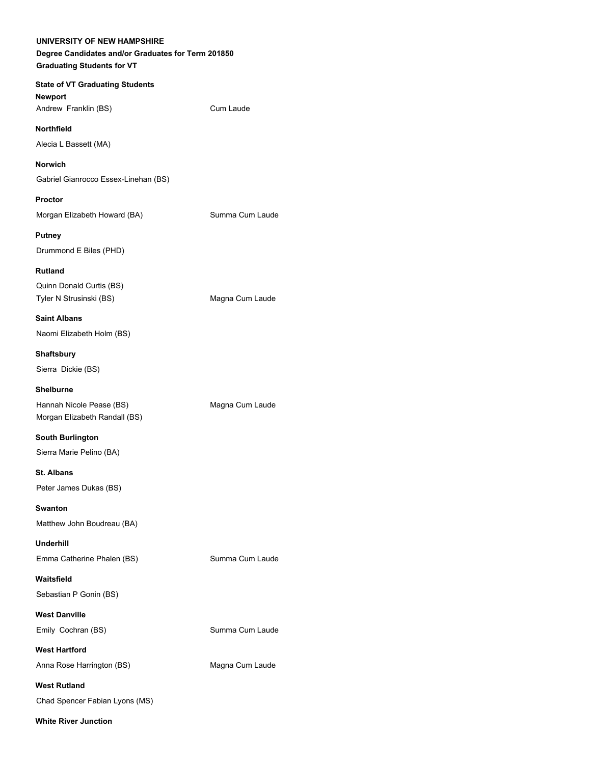| UNIVERSITY OF NEW HAMPSHIRE<br>Degree Candidates and/or Graduates for Term 201850<br><b>Graduating Students for VT</b> |                 |
|------------------------------------------------------------------------------------------------------------------------|-----------------|
| <b>State of VT Graduating Students</b><br><b>Newport</b><br>Andrew Franklin (BS)                                       | Cum Laude       |
| <b>Northfield</b>                                                                                                      |                 |
| Alecia L Bassett (MA)                                                                                                  |                 |
| <b>Norwich</b>                                                                                                         |                 |
| Gabriel Gianrocco Essex-Linehan (BS)                                                                                   |                 |
| <b>Proctor</b>                                                                                                         |                 |
| Morgan Elizabeth Howard (BA)                                                                                           | Summa Cum Laude |
| <b>Putney</b>                                                                                                          |                 |
| Drummond E Biles (PHD)                                                                                                 |                 |
| <b>Rutland</b>                                                                                                         |                 |
| Quinn Donald Curtis (BS)<br>Tyler N Strusinski (BS)                                                                    | Magna Cum Laude |
| <b>Saint Albans</b>                                                                                                    |                 |
| Naomi Elizabeth Holm (BS)                                                                                              |                 |
| <b>Shaftsbury</b>                                                                                                      |                 |
| Sierra Dickie (BS)                                                                                                     |                 |
| <b>Shelburne</b>                                                                                                       |                 |
| Hannah Nicole Pease (BS)<br>Morgan Elizabeth Randall (BS)                                                              | Magna Cum Laude |
| <b>South Burlington</b>                                                                                                |                 |
| Sierra Marie Pelino (BA)                                                                                               |                 |
| <b>St. Albans</b>                                                                                                      |                 |
| Peter James Dukas (BS)                                                                                                 |                 |
| <b>Swanton</b><br>Matthew John Boudreau (BA)                                                                           |                 |
| <b>Underhill</b>                                                                                                       |                 |
| Emma Catherine Phalen (BS)                                                                                             | Summa Cum Laude |
| Waitsfield                                                                                                             |                 |
| Sebastian P Gonin (BS)                                                                                                 |                 |
| <b>West Danville</b>                                                                                                   |                 |
| Emily Cochran (BS)                                                                                                     | Summa Cum Laude |
| <b>West Hartford</b>                                                                                                   |                 |
| Anna Rose Harrington (BS)                                                                                              | Magna Cum Laude |
| <b>West Rutland</b>                                                                                                    |                 |
| Chad Spencer Fabian Lyons (MS)                                                                                         |                 |
| <b>White River Junction</b>                                                                                            |                 |